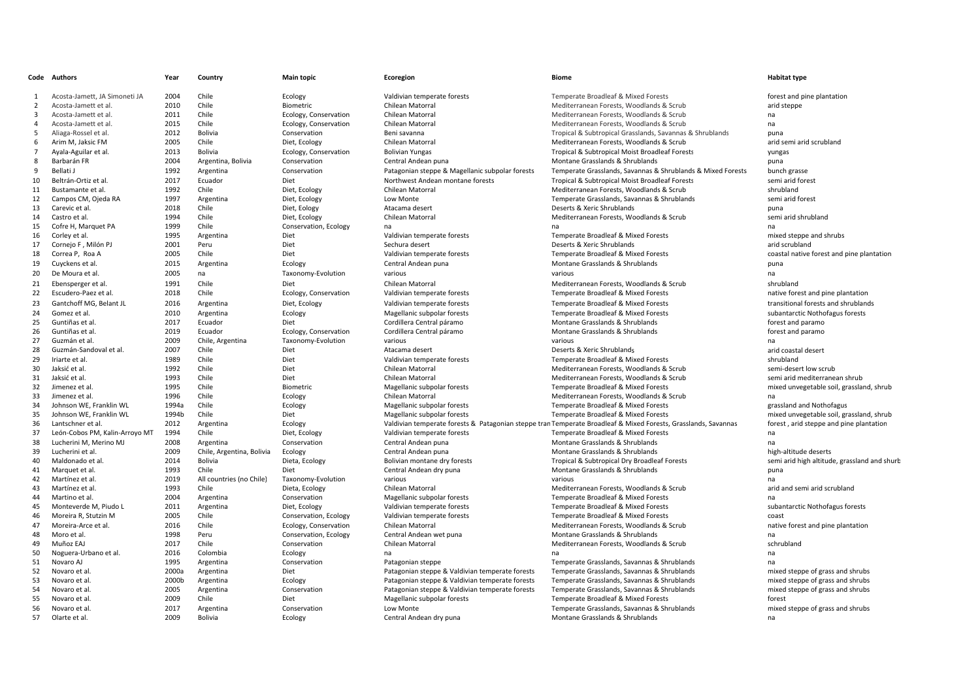|                | Code Authors                   | Year  | Country                   | <b>Main topic</b>     | Ecoregion                                       | <b>Biome</b>                                                                                                   | <b>Habitat type</b>                                    |
|----------------|--------------------------------|-------|---------------------------|-----------------------|-------------------------------------------------|----------------------------------------------------------------------------------------------------------------|--------------------------------------------------------|
| $\mathbf{1}$   | Acosta-Jamett, JA Simoneti JA  | 2004  | Chile                     | Ecology               | Valdivian temperate forests                     | Temperate Broadleaf & Mixed Forests                                                                            | forest and pine plantation                             |
| 2              | Acosta-Jamett et al            | 2010  | Chile                     | Biometric             | Chilean Matorral                                | Mediterranean Forests, Woodlands & Scrub                                                                       | arid steppe                                            |
| 3              | Acosta-Jamett et al.           | 2011  | Chile                     | Ecology, Conservation | Chilean Matorral                                | Mediterranean Forests, Woodlands & Scrub                                                                       | na                                                     |
| $\overline{4}$ | Acosta-Jamett et al            | 2015  | Chile                     | Ecology, Conservation | Chilean Matorral                                | Mediterranean Forests, Woodlands & Scrub                                                                       | na                                                     |
| 5              | Aliaga-Rossel et al.           | 2012  | Bolivia                   | Conservation          | Beni savanna                                    | Tropical & Subtropical Grasslands, Savannas & Shrublands                                                       | puna                                                   |
| 6              |                                | 2005  | Chile                     |                       | Chilean Matorral                                |                                                                                                                | arid semi arid scrubland                               |
| $\overline{7}$ | Arim M, Jaksic FM              |       | Bolivia                   | Diet, Ecology         |                                                 | Mediterranean Forests, Woodlands & Scrub                                                                       |                                                        |
|                | Ayala-Aguilar et al.           | 2013  |                           | Ecology, Conservation | <b>Bolivian Yungas</b>                          | Tropical & Subtropical Moist Broadleaf Forests                                                                 | yungas                                                 |
| 8              | Barbarán FR                    | 2004  | Argentina, Bolivia        | Conservation          | Central Andean puna                             | Montane Grasslands & Shrublands                                                                                | puna                                                   |
| 9              | Bellati J                      | 1992  | Argentina                 | Conservation          | Patagonian steppe & Magellanic subpolar forests | Temperate Grasslands, Savannas & Shrublands & Mixed Forests                                                    | bunch grasse                                           |
| 10             | Beltrán-Ortiz et al.           | 2017  | Ecuador                   | Diet                  | Northwest Andean montane forests                | Tropical & Subtropical Moist Broadleaf Forests                                                                 | semi arid forest                                       |
| 11             | Bustamante et al.              | 1992  | Chile                     | Diet, Ecology         | Chilean Matorral                                | Mediterranean Forests, Woodlands & Scrub                                                                       | shrubland                                              |
| 12             | Campos CM, Ojeda RA            | 1997  | Argentina                 | Diet, Ecology         | Low Monte                                       | Temperate Grasslands, Savannas & Shrublands                                                                    | semi arid forest                                       |
| 13             | Carevic et al.                 | 2018  | Chile                     | Diet, Eology          | Atacama desert                                  | Deserts & Xeric Shrublands                                                                                     | puna                                                   |
| 14             | Castro et al.                  | 1994  | Chile                     | Diet, Ecology         | Chilean Matorral                                | Mediterranean Forests, Woodlands & Scrub                                                                       | semi arid shrubland                                    |
| 15             | Cofre H, Marquet PA            | 1999  | Chile                     | Conservation, Ecology | na                                              | na                                                                                                             | na                                                     |
| 16             | Corley et al.                  | 1995  | Argentina                 | Diet                  | Valdivian temperate forests                     | Temperate Broadleaf & Mixed Forests                                                                            | mixed steppe and shrubs                                |
| 17             | Cornejo F, Milón PJ            | 2001  | Peru                      | Diet                  | Sechura desert                                  | Deserts & Xeric Shrublands                                                                                     | arid scrubland                                         |
| 18             | Correa P, Roa A                | 2005  | Chile                     | Diet                  | Valdivian temperate forests                     | Temperate Broadleaf & Mixed Forests                                                                            | coastal native forest and pine plantation              |
| 19             | Cuyckens et al.                | 2015  | Argentina                 | Ecology               | Central Andean puna                             | Montane Grasslands & Shrublands                                                                                | puna                                                   |
| 20             | De Moura et al.                | 2005  | na                        | Taxonomy-Evolution    | various                                         | various                                                                                                        | na                                                     |
| 21             | Ebensperger et al.             | 1991  | Chile                     | Diet                  | Chilean Matorral                                | Mediterranean Forests, Woodlands & Scrub                                                                       | shrubland                                              |
| 22             | Escudero-Paez et al.           | 2018  | Chile                     | Ecology, Conservation | Valdivian temperate forests                     | Temperate Broadleaf & Mixed Forests                                                                            | native forest and pine plantation                      |
| 23             | Gantchoff MG, Belant JL        | 2016  | Argentina                 | Diet, Ecology         | Valdivian temperate forests                     | Temperate Broadleaf & Mixed Forests                                                                            | transitional forests and shrublands                    |
| 24             | Gomez et al.                   | 2010  | Argentina                 | Ecology               | Magellanic subpolar forests                     | Temperate Broadleaf & Mixed Forests                                                                            | subantarctic Nothofagus forests                        |
| 25             | Guntiñas et al.                | 2017  | Ecuador                   | Diet                  | Cordillera Central páramo                       | Montane Grasslands & Shrublands                                                                                | forest and paramo                                      |
| 26             | Guntiñas et al.                | 2019  | Ecuador                   | Ecology, Conservation | Cordillera Central páramo                       | Montane Grasslands & Shrublands                                                                                | forest and paramo                                      |
| 27             | Guzmán et al.                  | 2009  | Chile, Argentina          | Taxonomy-Evolution    | various                                         | various                                                                                                        | na                                                     |
| 28             | Guzmán-Sandoval et al.         | 2007  | Chile                     | Diet                  | Atacama desert                                  | Deserts & Xeric Shrublands                                                                                     | arid coastal desert                                    |
| 29             | Iriarte et al.                 | 1989  | Chile                     | Diet                  | Valdivian temperate forests                     | Temperate Broadleaf & Mixed Forests                                                                            | shrubland                                              |
| 30             | Jaksić et al.                  | 1992  | Chile                     | Diet                  | Chilean Matorral                                | Mediterranean Forests. Woodlands & Scrub                                                                       |                                                        |
| 31             | Jaksić et al.                  | 1993  | Chile                     | Diet                  | Chilean Matorral                                | Mediterranean Forests. Woodlands & Scrub                                                                       | semi-desert low scrub<br>semi arid mediterranean shrub |
|                |                                | 1995  | Chile                     |                       |                                                 |                                                                                                                |                                                        |
| 32             | Jimenez et al.                 |       | Chile                     | Biometric             | Magellanic subpolar forests                     | Temperate Broadleaf & Mixed Forests                                                                            | mixed unvegetable soil, grassland, shrub               |
| 33             | Jimenez et al.                 | 1996  |                           | Ecology               | Chilean Matorral                                | Mediterranean Forests, Woodlands & Scrub                                                                       | na                                                     |
| 34             | Johnson WE, Franklin WL        | 1994a | Chile                     | Ecology               | Magellanic subpolar forests                     | Temperate Broadleaf & Mixed Forests                                                                            | grassland and Nothofagus                               |
| 35             | Johnson WE. Franklin WL        | 1994b | Chile                     | Diet                  | Magellanic subpolar forests                     | Temperate Broadleaf & Mixed Forests                                                                            | mixed unvegetable soil, grassland, shrub               |
| 36             | Lantschner et al.              | 2012  | Argentina                 | Ecology               |                                                 | Valdivian temperate forests & Patagonian steppe tran Temperate Broadleaf & Mixed Forests, Grasslands, Savannas | forest, arid steppe and pine plantation                |
| 37             | León-Cobos PM, Kalin-Arroyo MT | 1994  | Chile                     | Diet, Ecology         | Valdivian temperate forests                     | Temperate Broadleaf & Mixed Forests                                                                            | na                                                     |
| 38             | Lucherini M, Merino MJ         | 2008  | Argentina                 | Conservation          | Central Andean puna                             | Montane Grasslands & Shrublands                                                                                | na                                                     |
| 39             | Lucherini et al.               | 2009  | Chile, Argentina, Bolivia | Ecology               | Central Andean puna                             | Montane Grasslands & Shrublands                                                                                | high-altitude deserts                                  |
| 40             | Maldonado et al                | 2014  | <b>Bolivia</b>            | Dieta, Ecology        | Bolivian montane dry forests                    | Tropical & Subtropical Dry Broadleaf Forests                                                                   | semi arid high altitude, grassland and shurb           |
| 41             | Marquet et al.                 | 1993  | Chile                     | Diet                  | Central Andean dry puna                         | Montane Grasslands & Shrublands                                                                                | puna                                                   |
| 42             | Martínez et al.                | 2019  | All countries (no Chile)  | Taxonomy-Evolution    | various                                         | various                                                                                                        | na                                                     |
| 43             | Martínez et al.                | 1993  | Chile                     | Dieta, Ecology        | Chilean Matorral                                | Mediterranean Forests, Woodlands & Scrub                                                                       | arid and semi arid scrubland                           |
| 44             | Martino et al.                 | 2004  | Argentina                 | Conservation          | Magellanic subpolar forests                     | Temperate Broadleaf & Mixed Forests                                                                            | na                                                     |
| 45             | Monteverde M, Piudo L          | 2011  | Argentina                 | Diet, Ecology         | Valdivian temperate forests                     | Temperate Broadleaf & Mixed Forests                                                                            | subantarctic Nothofagus forests                        |
| 46             | Moreira R, Stutzin M           | 2005  | Chile                     | Conservation, Ecology | Valdivian temperate forests                     | Temperate Broadleaf & Mixed Forests                                                                            | coast                                                  |
| 47             | Moreira-Arce et al.            | 2016  | Chile                     | Ecology, Conservation | Chilean Matorral                                | Mediterranean Forests, Woodlands & Scrub                                                                       | native forest and pine plantation                      |
| 48             | Moro et al.                    | 1998  | Peru                      | Conservation, Ecology | Central Andean wet puna                         | Montane Grasslands & Shrublands                                                                                | na                                                     |
| 49             | Muñoz EAJ                      | 2017  | Chile                     | Conservation          | Chilean Matorral                                | Mediterranean Forests, Woodlands & Scrub                                                                       | schrubland                                             |
| 50             | Noguera-Urbano et al.          | 2016  | Colombia                  | Ecology               | na                                              | na                                                                                                             | na                                                     |
| 51             | Novaro AJ                      | 1995  | Argentina                 | Conservation          | Patagonian steppe                               | Temperate Grasslands, Savannas & Shrublands                                                                    | na                                                     |
| 52             | Novaro et al.                  | 2000a | Argentina                 | Diet                  | Patagonian steppe & Valdivian temperate forests | Temperate Grasslands, Savannas & Shrublands                                                                    | mixed steppe of grass and shrubs                       |
| 53             | Novaro et al.                  | 2000b | Argentina                 | Ecology               | Patagonian steppe & Valdivian temperate forests | Temperate Grasslands, Savannas & Shrublands                                                                    | mixed steppe of grass and shrubs                       |
| 54             | Novaro et al.                  | 2005  | Argentina                 | Conservation          | Patagonian steppe & Valdivian temperate forests | Temperate Grasslands, Savannas & Shrublands                                                                    | mixed steppe of grass and shrubs                       |
| 55             | Novaro et al.                  | 2009  | Chile                     | Diet                  | Magellanic subpolar forests                     | Temperate Broadleaf & Mixed Forests                                                                            | forest                                                 |
| 56             | Novaro et al.                  | 2017  | Argentina                 | Conservation          | Low Monte                                       | Temperate Grasslands, Savannas & Shrublands                                                                    | mixed steppe of grass and shrubs                       |
| 57             | Olarte et al.                  | 2009  | Bolivia                   | Ecology               | Central Andean dry puna                         | Montane Grasslands & Shrublands                                                                                | na                                                     |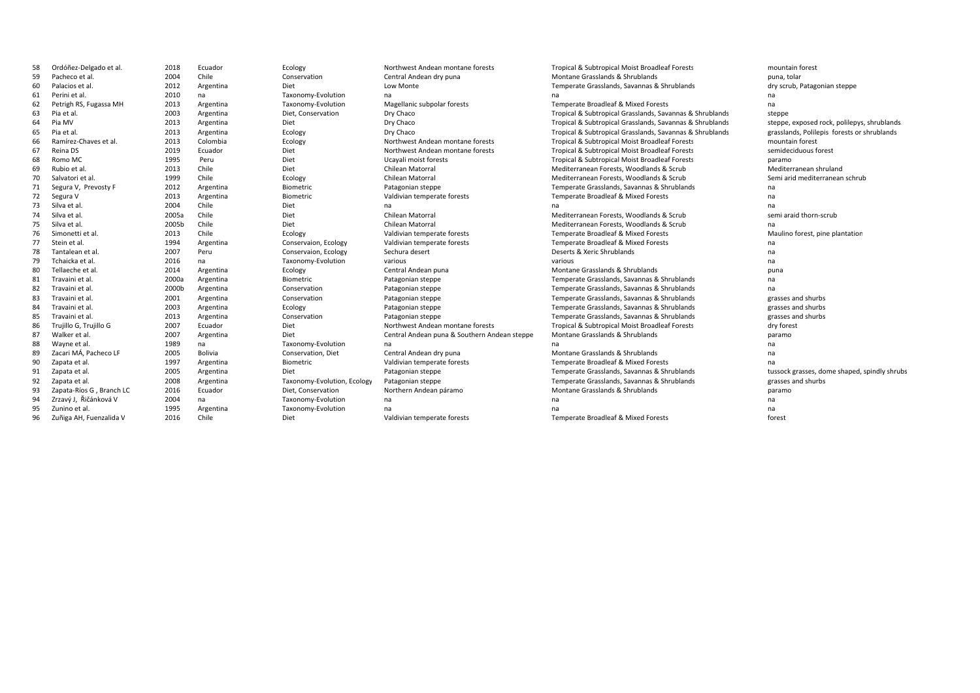| 58 | Ordóñez-Delgado et al.   | 2018  | Ecuador   | Ecology                     | Northwest Andean montane forests             | Tropical & Subtropical Moist Broadleaf Forests           | mountain forest                              |
|----|--------------------------|-------|-----------|-----------------------------|----------------------------------------------|----------------------------------------------------------|----------------------------------------------|
| 59 | Pacheco et al.           | 2004  | Chile     | Conservation                | Central Andean dry puna                      | Montane Grasslands & Shrublands                          | puna, tolar                                  |
| 60 | Palacios et al.          | 2012  | Argentina | Diet                        | Low Monte                                    | Temperate Grasslands, Savannas & Shrublands              | dry scrub, Patagonian steppe                 |
| 61 | Perini et al.            | 2010  | na        | Taxonomy-Evolution          | na                                           | na                                                       | na                                           |
| 62 | Petrigh RS, Fugassa MH   | 2013  | Argentina | Taxonomy-Evolution          | Magellanic subpolar forests                  | Temperate Broadleaf & Mixed Forests                      | na                                           |
| 63 | Pia et al.               | 2003  | Argentina | Diet, Conservation          | Dry Chaco                                    | Tropical & Subtropical Grasslands, Savannas & Shrublands | steppe                                       |
| 64 | Pia MV                   | 2013  | Argentina | Diet                        | Dry Chaco                                    | Tropical & Subtropical Grasslands, Savannas & Shrublands | steppe, exposed rock, polilepys, shrublands. |
| 65 | Pia et al.               | 2013  | Argentina | Ecology                     | Dry Chaco                                    | Tropical & Subtropical Grasslands, Savannas & Shrublands | grasslands, Polilepis forests or shrublands  |
| 66 | Ramírez-Chaves et al.    | 2013  | Colombia  | Ecology                     | Northwest Andean montane forests             | Tropical & Subtropical Moist Broadleaf Forests           | mountain forest                              |
| 67 | Reina DS                 | 2019  | Ecuador   | Diet                        | Northwest Andean montane forests             | Tropical & Subtropical Moist Broadleaf Forests           | semideciduous forest                         |
| 68 | Romo MC                  | 1995  | Peru      | Diet                        | Ucayali moist forests                        | Tropical & Subtropical Moist Broadleaf Forests           | paramo                                       |
| 69 | Rubio et al.             | 2013  | Chile     | Diet                        | Chilean Matorral                             | Mediterranean Forests, Woodlands & Scrub                 | Mediterranean shruland                       |
| 70 | Salvatori et al.         | 1999  | Chile     | Ecology                     | Chilean Matorral                             | Mediterranean Forests, Woodlands & Scrub                 | Semi arid mediterranean schrub               |
| 71 | Segura V, Prevosty F     | 2012  | Argentina | Biometric                   | Patagonian steppe                            | Temperate Grasslands, Savannas & Shrublands              | na                                           |
| 72 | Segura V                 | 2013  | Argentina | Biometric                   | Valdivian temperate forests                  | Temperate Broadleaf & Mixed Forests                      | na                                           |
| 73 | Silva et al              | 2004  | Chile     | Diet                        | na                                           | na                                                       | na                                           |
| 74 | Silva et al              | 2005a | Chile     | Diet                        | Chilean Matorral                             | Mediterranean Forests, Woodlands & Scrub                 | semi araid thorn-scrub                       |
| 75 | Silva et al              | 2005b | Chile     | Diet                        | Chilean Matorral                             | Mediterranean Forests, Woodlands & Scrub                 | na                                           |
| 76 | Simonetti et al.         | 2013  | Chile     | Ecology                     | Valdivian temperate forests                  | Temperate Broadleaf & Mixed Forests                      | Maulino forest, pine plantation              |
| 77 | Stein et al.             | 1994  | Argentina | Conservaion, Ecology        | Valdivian temperate forests                  | Temperate Broadleaf & Mixed Forests                      | na                                           |
| 78 | Tantalean et al.         | 2007  | Peru      | Conservaion, Ecology        | Sechura desert                               | Deserts & Xeric Shrublands                               | na                                           |
| 79 | Tchaicka et al           | 2016  | na        | Taxonomy-Evolution          | various                                      | various                                                  | na                                           |
| 80 | Tellaeche et al          | 2014  | Argentina | Ecology                     | Central Andean puna                          | Montane Grasslands & Shrublands                          | puna                                         |
| 81 | Travaini et al.          | 2000a | Argentina | Biometric                   | Patagonian steppe                            | Temperate Grasslands, Savannas & Shrublands              | na                                           |
| 82 | Travaini et al.          | 2000b | Argentina | Conservation                | Patagonian steppe                            | Temperate Grasslands, Savannas & Shrublands              | na                                           |
| 83 | Travaini et al.          | 2001  | Argentina | Conservation                | Patagonian steppe                            | Temperate Grasslands, Savannas & Shrublands              | grasses and shurbs                           |
| 84 | Travaini et al.          | 2003  | Argentina | Ecology                     | Patagonian steppe                            | Temperate Grasslands, Savannas & Shrublands              | grasses and shurbs                           |
| 85 | Travaini et al.          | 2013  | Argentina | Conservation                | Patagonian steppe                            | Temperate Grasslands, Savannas & Shrublands              | grasses and shurbs                           |
| 86 | Trujillo G, Trujillo G   | 2007  | Ecuador   | Diet                        | Northwest Andean montane forests             | Tropical & Subtropical Moist Broadleaf Forests           | dry forest                                   |
| 87 | Walker et al.            | 2007  | Argentina | Diet                        | Central Andean puna & Southern Andean steppe | Montane Grasslands & Shrublands                          | paramo                                       |
| 88 | Wayne et al.             | 1989  | na        | Taxonomy-Evolution          | na                                           | na                                                       | na                                           |
| 89 | Zacari MÁ, Pacheco LF    | 2005  | Bolivia   | Conservation, Diet          | Central Andean dry puna                      | Montane Grasslands & Shrublands                          | na                                           |
| 90 | Zapata et al.            | 1997  | Argentina | Biometric                   | Valdivian temperate forests                  | Temperate Broadleaf & Mixed Forests                      | na                                           |
| 91 | Zapata et al.            | 2005  | Argentina | Diet                        | Patagonian steppe                            | Temperate Grasslands, Savannas & Shrublands              | tussock grasses, dome shaped, spindly shrubs |
| 92 | Zapata et al.            | 2008  | Argentina | Taxonomy-Evolution, Ecology | Patagonian steppe                            | Temperate Grasslands, Savannas & Shrublands              | grasses and shurbs                           |
| 93 | Zapata-Ríos G, Branch LC | 2016  | Ecuador   | Diet, Conservation          | Northern Andean páramo                       | Montane Grasslands & Shrublands                          | paramo                                       |
| 94 | Zrzavý J, Řičánková V    | 2004  | na        | Taxonomy-Evolution          | na                                           | na                                                       | na                                           |
| 95 | Zunino et al.            | 1995  | Argentina | Taxonomy-Evolution          | na                                           | na                                                       | na                                           |
| 96 | Zuñiga AH. Fuenzalida V  | 2016  | Chile     | Diet                        | Valdivian temperate forests                  | <b>Temperate Broadleaf &amp; Mixed Forests</b>           | forest                                       |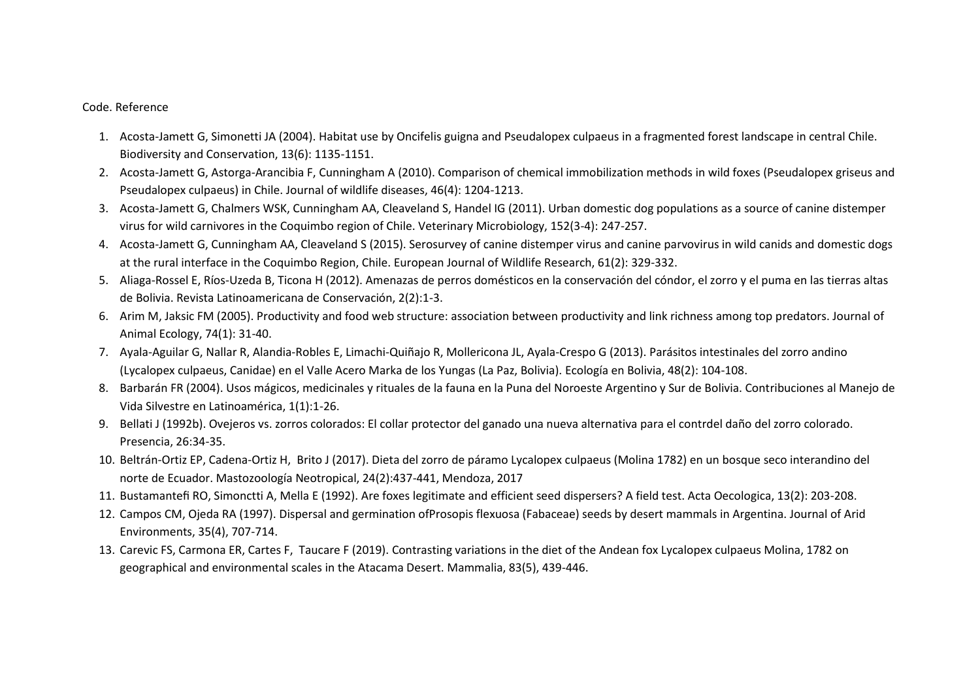## Code. Reference

- 1. Acosta-Jamett G, Simonetti JA (2004). Habitat use by Oncifelis guigna and Pseudalopex culpaeus in a fragmented forest landscape in central Chile. Biodiversity and Conservation, 13(6): 1135-1151.
- 2. Acosta-Jamett G, Astorga-Arancibia F, Cunningham A (2010). Comparison of chemical immobilization methods in wild foxes (Pseudalopex griseus and Pseudalopex culpaeus) in Chile. Journal of wildlife diseases, 46(4): 1204-1213.
- 3. Acosta-Jamett G, Chalmers WSK, Cunningham AA, Cleaveland S, Handel IG (2011). Urban domestic dog populations as a source of canine distemper virus for wild carnivores in the Coquimbo region of Chile. Veterinary Microbiology, 152(3-4): 247-257.
- 4. Acosta-Jamett G, Cunningham AA, Cleaveland S (2015). Serosurvey of canine distemper virus and canine parvovirus in wild canids and domestic dogs at the rural interface in the Coquimbo Region, Chile. European Journal of Wildlife Research, 61(2): 329-332.
- 5. Aliaga-Rossel E, Ríos-Uzeda B, Ticona H (2012). Amenazas de perros domésticos en la conservación del cóndor, el zorro y el puma en las tierras altas de Bolivia. Revista Latinoamericana de Conservación, 2(2):1-3.
- 6. Arim M, Jaksic FM (2005). Productivity and food web structure: association between productivity and link richness among top predators. Journal of Animal Ecology, 74(1): 31-40.
- 7. Ayala-Aguilar G, Nallar R, Alandia-Robles E, Limachi-Quiñajo R, Mollericona JL, Ayala-Crespo G (2013). Parásitos intestinales del zorro andino (Lycalopex culpaeus, Canidae) en el Valle Acero Marka de los Yungas (La Paz, Bolivia). Ecología en Bolivia, 48(2): 104-108.
- 8. Barbarán FR (2004). Usos mágicos, medicinales y rituales de la fauna en la Puna del Noroeste Argentino y Sur de Bolivia. Contribuciones al Manejo de Vida Silvestre en Latinoamérica, 1(1):1-26.
- 9. Bellati J (1992b). Ovejeros vs. zorros colorados: El collar protector del ganado una nueva alternativa para el contrdel daño del zorro colorado. Presencia, 26:34-35.
- 10. Beltrán-Ortiz EP, Cadena-Ortiz H, Brito J (2017). Dieta del zorro de páramo Lycalopex culpaeus (Molina 1782) en un bosque seco interandino del norte de Ecuador. Mastozoología Neotropical, 24(2):437-441, Mendoza, 2017
- 11. Bustamantefi RO, Simonctti A, Mella E (1992). Are foxes legitimate and efficient seed dispersers? A field test. Acta Oecologica, 13(2): 203-208.
- 12. Campos CM, Ojeda RA (1997). Dispersal and germination ofProsopis flexuosa (Fabaceae) seeds by desert mammals in Argentina. Journal of Arid Environments, 35(4), 707-714.
- 13. Carevic FS, Carmona ER, Cartes F, Taucare F (2019). Contrasting variations in the diet of the Andean fox Lycalopex culpaeus Molina, 1782 on geographical and environmental scales in the Atacama Desert. Mammalia, 83(5), 439-446.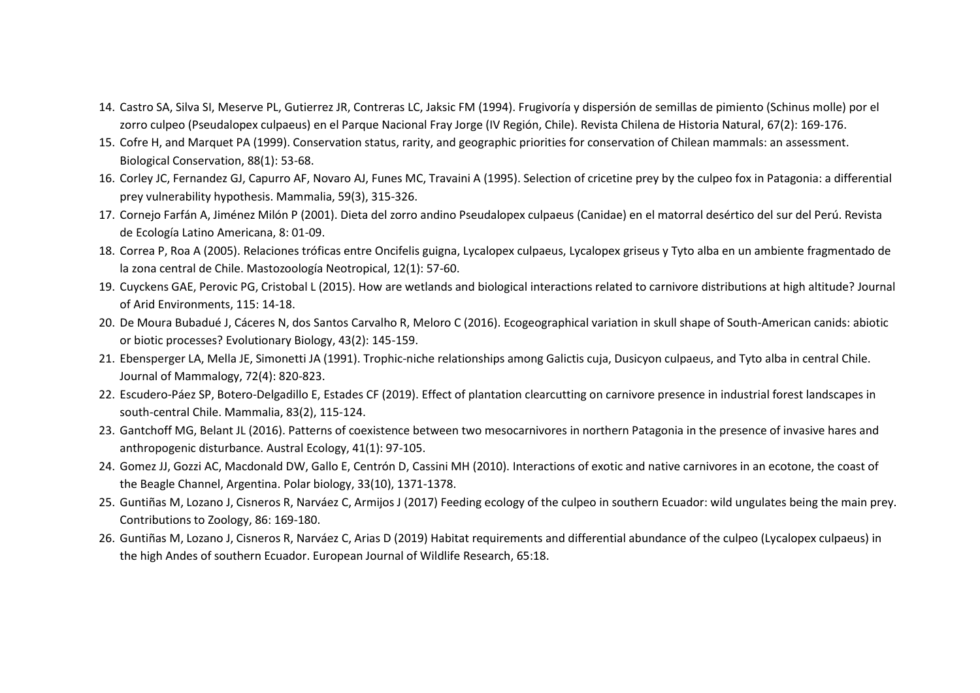- 14. Castro SA, Silva SI, Meserve PL, Gutierrez JR, Contreras LC, Jaksic FM (1994). Frugivoría y dispersión de semillas de pimiento (Schinus molle) por el zorro culpeo (Pseudalopex culpaeus) en el Parque Nacional Fray Jorge (IV Región, Chile). Revista Chilena de Historia Natural, 67(2): 169-176.
- 15. Cofre H, and Marquet PA (1999). Conservation status, rarity, and geographic priorities for conservation of Chilean mammals: an assessment. Biological Conservation, 88(1): 53-68.
- 16. Corley JC, Fernandez GJ, Capurro AF, Novaro AJ, Funes MC, Travaini A (1995). Selection of cricetine prey by the culpeo fox in Patagonia: a differential prey vulnerability hypothesis. Mammalia, 59(3), 315-326.
- 17. Cornejo Farfán A, Jiménez Milón P (2001). Dieta del zorro andino Pseudalopex culpaeus (Canidae) en el matorral desértico del sur del Perú. Revista de Ecología Latino Americana, 8: 01-09.
- 18. Correa P, Roa A (2005). Relaciones tróficas entre Oncifelis guigna, Lycalopex culpaeus, Lycalopex griseus y Tyto alba en un ambiente fragmentado de la zona central de Chile. Mastozoología Neotropical, 12(1): 57-60.
- 19. Cuyckens GAE, Perovic PG, Cristobal L (2015). How are wetlands and biological interactions related to carnivore distributions at high altitude? Journal of Arid Environments, 115: 14-18.
- 20. De Moura Bubadué J, Cáceres N, dos Santos Carvalho R, Meloro C (2016). Ecogeographical variation in skull shape of South-American canids: abiotic or biotic processes? Evolutionary Biology, 43(2): 145-159.
- 21. Ebensperger LA, Mella JE, Simonetti JA (1991). Trophic-niche relationships among Galictis cuja, Dusicyon culpaeus, and Tyto alba in central Chile. Journal of Mammalogy, 72(4): 820-823.
- 22. Escudero-Páez SP, Botero-Delgadillo E, Estades CF (2019). Effect of plantation clearcutting on carnivore presence in industrial forest landscapes in south-central Chile. Mammalia, 83(2), 115-124.
- 23. Gantchoff MG, Belant JL (2016). Patterns of coexistence between two mesocarnivores in northern Patagonia in the presence of invasive hares and anthropogenic disturbance. Austral Ecology, 41(1): 97-105.
- 24. Gomez JJ, Gozzi AC, Macdonald DW, Gallo E, Centrón D, Cassini MH (2010). Interactions of exotic and native carnivores in an ecotone, the coast of the Beagle Channel, Argentina. Polar biology, 33(10), 1371-1378.
- 25. Guntiñas M, Lozano J, Cisneros R, Narváez C, Armijos J (2017) Feeding ecology of the culpeo in southern Ecuador: wild ungulates being the main prey. Contributions to Zoology, 86: 169-180.
- 26. Guntiñas M, Lozano J, Cisneros R, Narváez C, Arias D (2019) Habitat requirements and differential abundance of the culpeo (Lycalopex culpaeus) in the high Andes of southern Ecuador. European Journal of Wildlife Research, 65:18.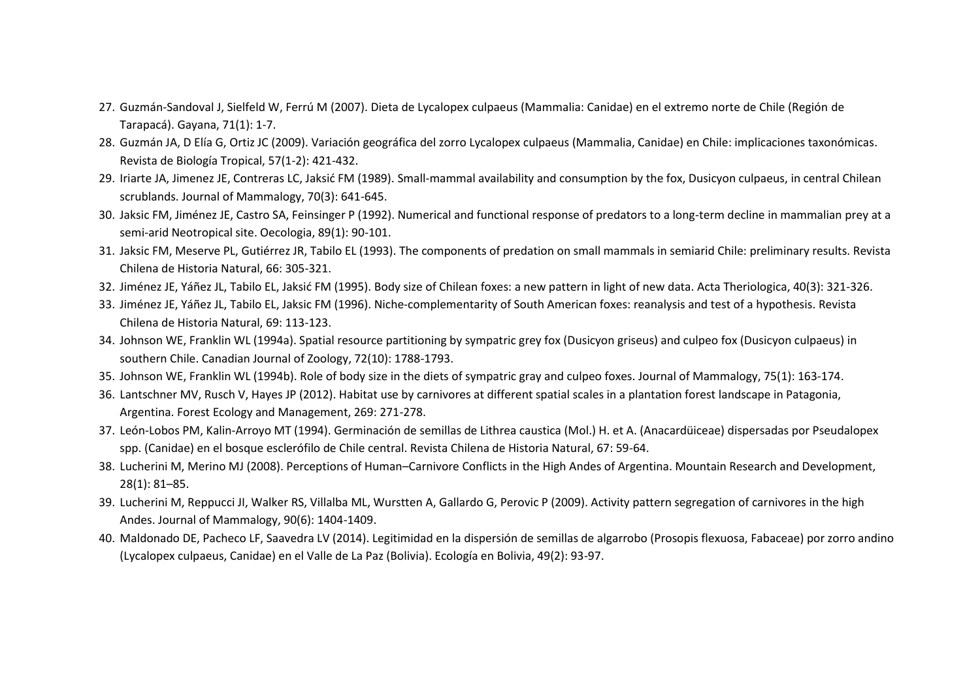- 27. Guzmán-Sandoval J, Sielfeld W, Ferrú M (2007). Dieta de Lycalopex culpaeus (Mammalia: Canidae) en el extremo norte de Chile (Región de Tarapacá). Gayana, 71(1): 1-7.
- 28. Guzmán JA, D Elía G, Ortiz JC (2009). Variación geográfica del zorro Lycalopex culpaeus (Mammalia, Canidae) en Chile: implicaciones taxonómicas. Revista de Biología Tropical, 57(1-2): 421-432.
- 29. Iriarte JA, Jimenez JE, Contreras LC, Jaksić FM (1989). Small-mammal availability and consumption by the fox, Dusicyon culpaeus, in central Chilean scrublands. Journal of Mammalogy, 70(3): 641-645.
- 30. Jaksic FM, Jiménez JE, Castro SA, Feinsinger P (1992). Numerical and functional response of predators to a long-term decline in mammalian prey at a semi-arid Neotropical site. Oecologia, 89(1): 90-101.
- 31. Jaksic FM, Meserve PL, Gutiérrez JR, Tabilo EL (1993). The components of predation on small mammals in semiarid Chile: preliminary results. Revista Chilena de Historia Natural, 66: 305-321.
- 32. Jiménez JE, Yáñez JL, Tabilo EL, Jaksić FM (1995). Body size of Chilean foxes: a new pattern in light of new data. Acta Theriologica, 40(3): 321-326.
- 33. Jiménez JE, Yáñez JL, Tabilo EL, Jaksic FM (1996). Niche-complementarity of South American foxes: reanalysis and test of a hypothesis. Revista Chilena de Historia Natural, 69: 113-123.
- 34. Johnson WE, Franklin WL (1994a). Spatial resource partitioning by sympatric grey fox (Dusicyon griseus) and culpeo fox (Dusicyon culpaeus) in southern Chile. Canadian Journal of Zoology, 72(10): 1788-1793.
- 35. Johnson WE, Franklin WL (1994b). Role of body size in the diets of sympatric gray and culpeo foxes. Journal of Mammalogy, 75(1): 163-174.
- 36. Lantschner MV, Rusch V, Hayes JP (2012). Habitat use by carnivores at different spatial scales in a plantation forest landscape in Patagonia, Argentina. Forest Ecology and Management, 269: 271-278.
- 37. León-Lobos PM, Kalin-Arroyo MT (1994). Germinación de semillas de Lithrea caustica (Mol.) H. et A. (Anacardüiceae) dispersadas por Pseudalopex spp. (Canidae) en el bosque esclerófilo de Chile central. Revista Chilena de Historia Natural, 67: 59-64.
- 38. Lucherini M, Merino MJ (2008). Perceptions of Human–Carnivore Conflicts in the High Andes of Argentina. Mountain Research and Development, 28(1): 81–85.
- 39. Lucherini M, Reppucci JI, Walker RS, Villalba ML, Wurstten A, Gallardo G, Perovic P (2009). Activity pattern segregation of carnivores in the high Andes. Journal of Mammalogy, 90(6): 1404-1409.
- 40. Maldonado DE, Pacheco LF, Saavedra LV (2014). Legitimidad en la dispersión de semillas de algarrobo (Prosopis flexuosa, Fabaceae) por zorro andino (Lycalopex culpaeus, Canidae) en el Valle de La Paz (Bolivia). Ecología en Bolivia, 49(2): 93-97.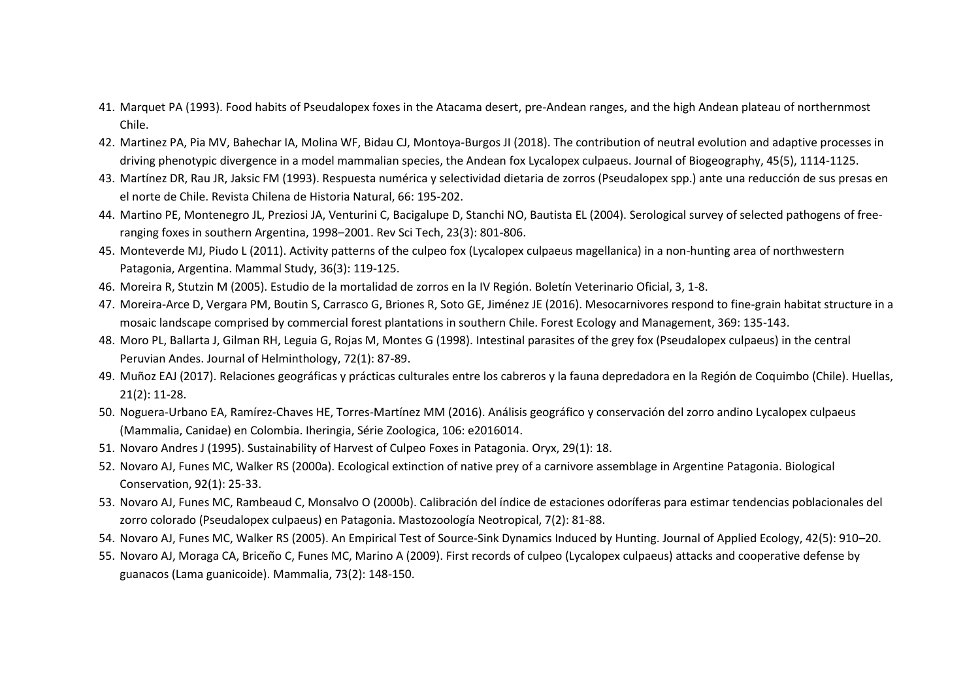- 41. Marquet PA (1993). Food habits of Pseudalopex foxes in the Atacama desert, pre-Andean ranges, and the high Andean plateau of northernmost Chile.
- 42. Martinez PA, Pia MV, Bahechar IA, Molina WF, Bidau CJ, Montoya-Burgos JI (2018). The contribution of neutral evolution and adaptive processes in driving phenotypic divergence in a model mammalian species, the Andean fox Lycalopex culpaeus. Journal of Biogeography, 45(5), 1114-1125.
- 43. Martínez DR, Rau JR, Jaksic FM (1993). Respuesta numérica y selectividad dietaria de zorros (Pseudalopex spp.) ante una reducción de sus presas en el norte de Chile. Revista Chilena de Historia Natural, 66: 195-202.
- 44. Martino PE, Montenegro JL, Preziosi JA, Venturini C, Bacigalupe D, Stanchi NO, Bautista EL (2004). Serological survey of selected pathogens of freeranging foxes in southern Argentina, 1998–2001. Rev Sci Tech, 23(3): 801-806.
- 45. Monteverde MJ, Piudo L (2011). Activity patterns of the culpeo fox (Lycalopex culpaeus magellanica) in a non-hunting area of northwestern Patagonia, Argentina. Mammal Study, 36(3): 119-125.
- 46. Moreira R, Stutzin M (2005). Estudio de la mortalidad de zorros en la IV Región. Boletín Veterinario Oficial, 3, 1-8.
- 47. Moreira-Arce D, Vergara PM, Boutin S, Carrasco G, Briones R, Soto GE, Jiménez JE (2016). Mesocarnivores respond to fine-grain habitat structure in a mosaic landscape comprised by commercial forest plantations in southern Chile. Forest Ecology and Management, 369: 135-143.
- 48. Moro PL, Ballarta J, Gilman RH, Leguia G, Rojas M, Montes G (1998). Intestinal parasites of the grey fox (Pseudalopex culpaeus) in the central Peruvian Andes. Journal of Helminthology, 72(1): 87-89.
- 49. Muñoz EAJ (2017). Relaciones geográficas y prácticas culturales entre los cabreros y la fauna depredadora en la Región de Coquimbo (Chile). Huellas, 21(2): 11-28.
- 50. Noguera-Urbano EA, Ramírez-Chaves HE, Torres-Martínez MM (2016). Análisis geográfico y conservación del zorro andino Lycalopex culpaeus (Mammalia, Canidae) en Colombia. Iheringia, Série Zoologica, 106: e2016014.
- 51. Novaro Andres J (1995). Sustainability of Harvest of Culpeo Foxes in Patagonia. Oryx, 29(1): 18.
- 52. Novaro AJ, Funes MC, Walker RS (2000a). Ecological extinction of native prey of a carnivore assemblage in Argentine Patagonia. Biological Conservation, 92(1): 25-33.
- 53. Novaro AJ, Funes MC, Rambeaud C, Monsalvo O (2000b). Calibración del índice de estaciones odoríferas para estimar tendencias poblacionales del zorro colorado (Pseudalopex culpaeus) en Patagonia. Mastozoología Neotropical, 7(2): 81-88.
- 54. Novaro AJ, Funes MC, Walker RS (2005). An Empirical Test of Source-Sink Dynamics Induced by Hunting. Journal of Applied Ecology, 42(5): 910–20.
- 55. Novaro AJ, Moraga CA, Briceño C, Funes MC, Marino A (2009). First records of culpeo (Lycalopex culpaeus) attacks and cooperative defense by guanacos (Lama guanicoide). Mammalia, 73(2): 148-150.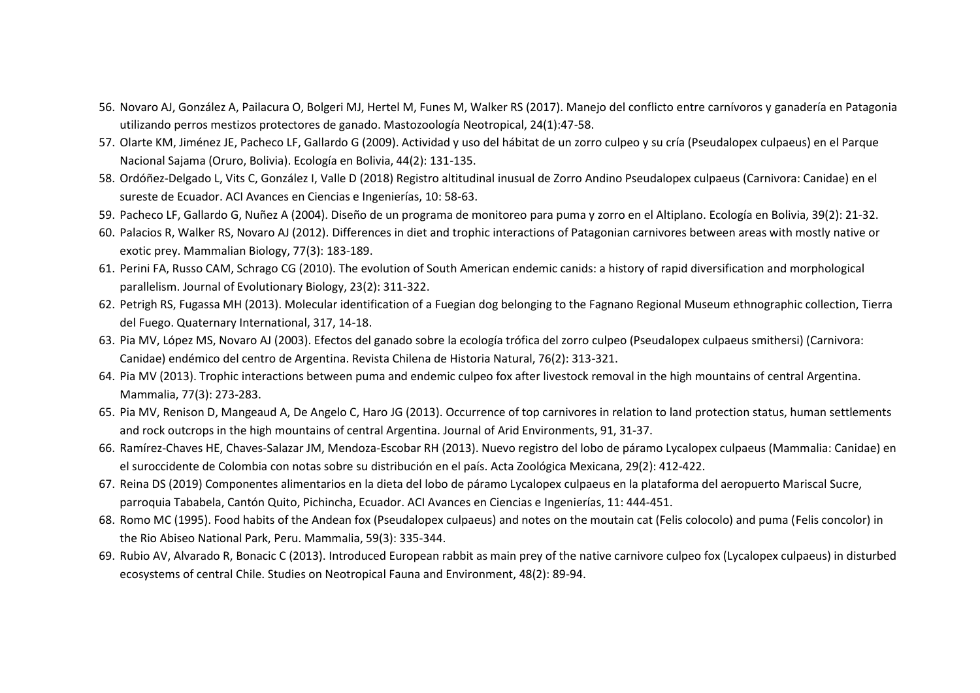- 56. Novaro AJ, González A, Pailacura O, Bolgeri MJ, Hertel M, Funes M, Walker RS (2017). Manejo del conflicto entre carnívoros y ganadería en Patagonia utilizando perros mestizos protectores de ganado. Mastozoología Neotropical, 24(1):47-58.
- 57. Olarte KM, Jiménez JE, Pacheco LF, Gallardo G (2009). Actividad y uso del hábitat de un zorro culpeo y su cría (Pseudalopex culpaeus) en el Parque Nacional Sajama (Oruro, Bolivia). Ecología en Bolivia, 44(2): 131-135.
- 58. Ordóñez-Delgado L, Vits C, González I, Valle D (2018) Registro altitudinal inusual de Zorro Andino Pseudalopex culpaeus (Carnivora: Canidae) en el sureste de Ecuador. ACI Avances en Ciencias e Ingenierías, 10: 58-63.
- 59. Pacheco LF, Gallardo G, Nuñez A (2004). Diseño de un programa de monitoreo para puma y zorro en el Altiplano. Ecología en Bolivia, 39(2): 21-32.
- 60. Palacios R, Walker RS, Novaro AJ (2012). Differences in diet and trophic interactions of Patagonian carnivores between areas with mostly native or exotic prey. Mammalian Biology, 77(3): 183-189.
- 61. Perini FA, Russo CAM, Schrago CG (2010). The evolution of South American endemic canids: a history of rapid diversification and morphological parallelism. Journal of Evolutionary Biology, 23(2): 311-322.
- 62. Petrigh RS, Fugassa MH (2013). Molecular identification of a Fuegian dog belonging to the Fagnano Regional Museum ethnographic collection, Tierra del Fuego. Quaternary International, 317, 14-18.
- 63. Pia MV, López MS, Novaro AJ (2003). Efectos del ganado sobre la ecología trófica del zorro culpeo (Pseudalopex culpaeus smithersi) (Carnivora: Canidae) endémico del centro de Argentina. Revista Chilena de Historia Natural, 76(2): 313-321.
- 64. Pia MV (2013). Trophic interactions between puma and endemic culpeo fox after livestock removal in the high mountains of central Argentina. Mammalia, 77(3): 273-283.
- 65. Pia MV, Renison D, Mangeaud A, De Angelo C, Haro JG (2013). Occurrence of top carnivores in relation to land protection status, human settlements and rock outcrops in the high mountains of central Argentina. Journal of Arid Environments, 91, 31-37.
- 66. Ramírez-Chaves HE, Chaves-Salazar JM, Mendoza-Escobar RH (2013). Nuevo registro del lobo de páramo Lycalopex culpaeus (Mammalia: Canidae) en el suroccidente de Colombia con notas sobre su distribución en el país. Acta Zoológica Mexicana, 29(2): 412-422.
- 67. Reina DS (2019) Componentes alimentarios en la dieta del lobo de páramo Lycalopex culpaeus en la plataforma del aeropuerto Mariscal Sucre, parroquia Tababela, Cantón Quito, Pichincha, Ecuador. ACI Avances en Ciencias e Ingenierías, 11: 444-451.
- 68. Romo MC (1995). Food habits of the Andean fox (Pseudalopex culpaeus) and notes on the moutain cat (Felis colocolo) and puma (Felis concolor) in the Rio Abiseo National Park, Peru. Mammalia, 59(3): 335-344.
- 69. Rubio AV, Alvarado R, Bonacic C (2013). Introduced European rabbit as main prey of the native carnivore culpeo fox (Lycalopex culpaeus) in disturbed ecosystems of central Chile. Studies on Neotropical Fauna and Environment, 48(2): 89-94.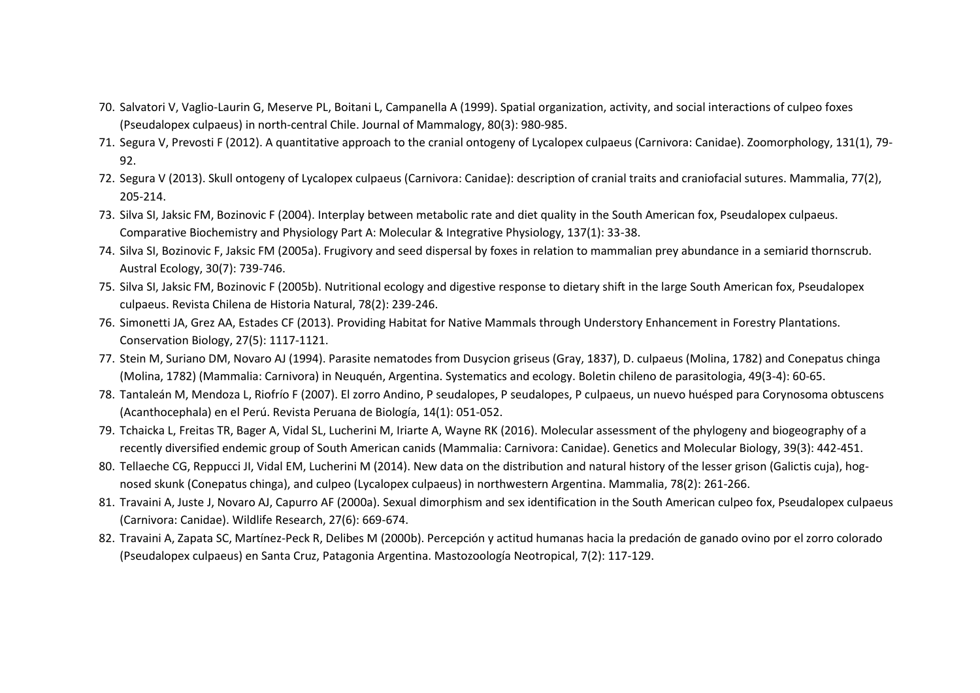- 70. Salvatori V, Vaglio-Laurin G, Meserve PL, Boitani L, Campanella A (1999). Spatial organization, activity, and social interactions of culpeo foxes (Pseudalopex culpaeus) in north-central Chile. Journal of Mammalogy, 80(3): 980-985.
- 71. Segura V, Prevosti F (2012). A quantitative approach to the cranial ontogeny of Lycalopex culpaeus (Carnivora: Canidae). Zoomorphology, 131(1), 79- 92.
- 72. Segura V (2013). Skull ontogeny of Lycalopex culpaeus (Carnivora: Canidae): description of cranial traits and craniofacial sutures. Mammalia, 77(2), 205-214.
- 73. Silva SI, Jaksic FM, Bozinovic F (2004). Interplay between metabolic rate and diet quality in the South American fox, Pseudalopex culpaeus. Comparative Biochemistry and Physiology Part A: Molecular & Integrative Physiology, 137(1): 33-38.
- 74. Silva SI, Bozinovic F, Jaksic FM (2005a). Frugivory and seed dispersal by foxes in relation to mammalian prey abundance in a semiarid thornscrub. Austral Ecology, 30(7): 739-746.
- 75. Silva SI, Jaksic FM, Bozinovic F (2005b). Nutritional ecology and digestive response to dietary shift in the large South American fox, Pseudalopex culpaeus. Revista Chilena de Historia Natural, 78(2): 239-246.
- 76. Simonetti JA, Grez AA, Estades CF (2013). Providing Habitat for Native Mammals through Understory Enhancement in Forestry Plantations. Conservation Biology, 27(5): 1117-1121.
- 77. Stein M, Suriano DM, Novaro AJ (1994). Parasite nematodes from Dusycion griseus (Gray, 1837), D. culpaeus (Molina, 1782) and Conepatus chinga (Molina, 1782) (Mammalia: Carnivora) in Neuquén, Argentina. Systematics and ecology. Boletin chileno de parasitologia, 49(3-4): 60-65.
- 78. Tantaleán M, Mendoza L, Riofrío F (2007). El zorro Andino, P seudalopes, P seudalopes, P culpaeus, un nuevo huésped para Corynosoma obtuscens (Acanthocephala) en el Perú. Revista Peruana de Biología, 14(1): 051-052.
- 79. Tchaicka L, Freitas TR, Bager A, Vidal SL, Lucherini M, Iriarte A, Wayne RK (2016). Molecular assessment of the phylogeny and biogeography of a recently diversified endemic group of South American canids (Mammalia: Carnivora: Canidae). Genetics and Molecular Biology, 39(3): 442-451.
- 80. Tellaeche CG, Reppucci JI, Vidal EM, Lucherini M (2014). New data on the distribution and natural history of the lesser grison (Galictis cuja), hognosed skunk (Conepatus chinga), and culpeo (Lycalopex culpaeus) in northwestern Argentina. Mammalia, 78(2): 261-266.
- 81. Travaini A, Juste J, Novaro AJ, Capurro AF (2000a). Sexual dimorphism and sex identification in the South American culpeo fox, Pseudalopex culpaeus (Carnivora: Canidae). Wildlife Research, 27(6): 669-674.
- 82. Travaini A, Zapata SC, Martínez-Peck R, Delibes M (2000b). Percepción y actitud humanas hacia la predación de ganado ovino por el zorro colorado (Pseudalopex culpaeus) en Santa Cruz, Patagonia Argentina. Mastozoología Neotropical, 7(2): 117-129.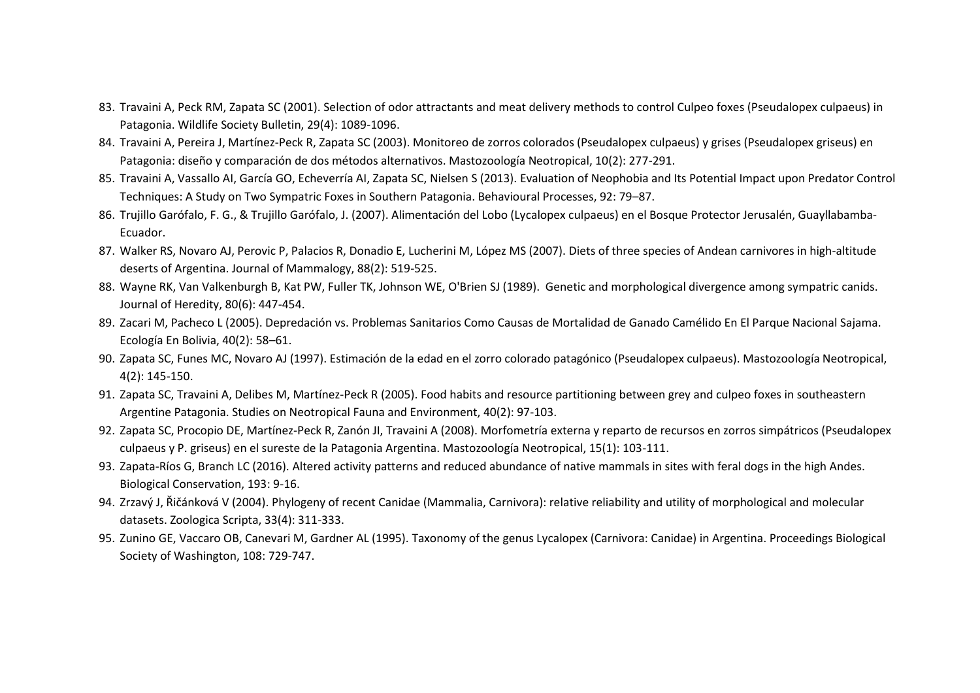- 83. Travaini A, Peck RM, Zapata SC (2001). Selection of odor attractants and meat delivery methods to control Culpeo foxes (Pseudalopex culpaeus) in Patagonia. Wildlife Society Bulletin, 29(4): 1089-1096.
- 84. Travaini A, Pereira J, Martínez-Peck R, Zapata SC (2003). Monitoreo de zorros colorados (Pseudalopex culpaeus) y grises (Pseudalopex griseus) en Patagonia: diseño y comparación de dos métodos alternativos. Mastozoología Neotropical, 10(2): 277-291.
- 85. Travaini A, Vassallo AI, García GO, Echeverría AI, Zapata SC, Nielsen S (2013). Evaluation of Neophobia and Its Potential Impact upon Predator Control Techniques: A Study on Two Sympatric Foxes in Southern Patagonia. Behavioural Processes, 92: 79–87.
- 86. Trujillo Garófalo, F. G., & Trujillo Garófalo, J. (2007). Alimentación del Lobo (Lycalopex culpaeus) en el Bosque Protector Jerusalén, Guayllabamba-Ecuador.
- 87. Walker RS, Novaro AJ, Perovic P, Palacios R, Donadio E, Lucherini M, López MS (2007). Diets of three species of Andean carnivores in high-altitude deserts of Argentina. Journal of Mammalogy, 88(2): 519-525.
- 88. Wayne RK, Van Valkenburgh B, Kat PW, Fuller TK, Johnson WE, O'Brien SJ (1989). Genetic and morphological divergence among sympatric canids. Journal of Heredity, 80(6): 447-454.
- 89. Zacari M, Pacheco L (2005). Depredación vs. Problemas Sanitarios Como Causas de Mortalidad de Ganado Camélido En El Parque Nacional Sajama. Ecología En Bolivia, 40(2): 58–61.
- 90. Zapata SC, Funes MC, Novaro AJ (1997). Estimación de la edad en el zorro colorado patagónico (Pseudalopex culpaeus). Mastozoología Neotropical, 4(2): 145-150.
- 91. Zapata SC, Travaini A, Delibes M, Martínez-Peck R (2005). Food habits and resource partitioning between grey and culpeo foxes in southeastern Argentine Patagonia. Studies on Neotropical Fauna and Environment, 40(2): 97-103.
- 92. Zapata SC, Procopio DE, Martínez-Peck R, Zanón JI, Travaini A (2008). Morfometría externa y reparto de recursos en zorros simpátricos (Pseudalopex culpaeus y P. griseus) en el sureste de la Patagonia Argentina. Mastozoología Neotropical, 15(1): 103-111.
- 93. Zapata-Ríos G, Branch LC (2016). Altered activity patterns and reduced abundance of native mammals in sites with feral dogs in the high Andes. Biological Conservation, 193: 9-16.
- 94. Zrzavý J, Řičánková V (2004). Phylogeny of recent Canidae (Mammalia, Carnivora): relative reliability and utility of morphological and molecular datasets. Zoologica Scripta, 33(4): 311-333.
- 95. Zunino GE, Vaccaro OB, Canevari M, Gardner AL (1995). Taxonomy of the genus Lycalopex (Carnivora: Canidae) in Argentina. Proceedings Biological Society of Washington, 108: 729-747.